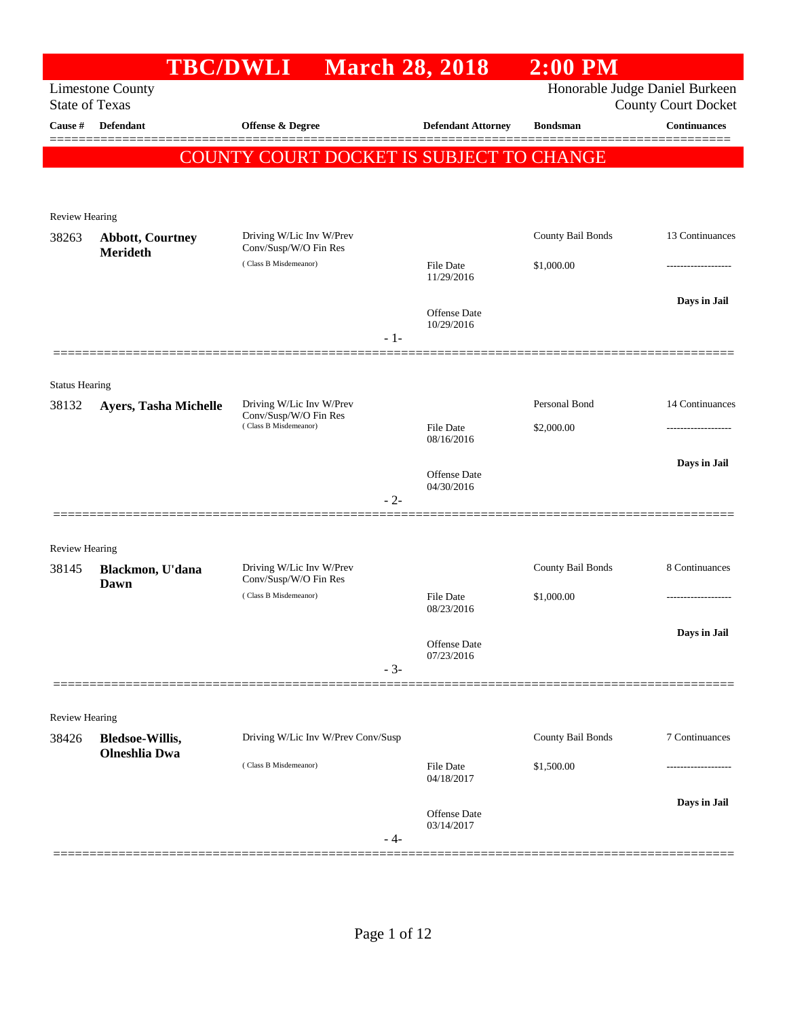|                                |                                                | <b>TBC/DWLI</b>                                   | <b>March 28, 2018</b>               | $2:00$ PM         |                                                              |
|--------------------------------|------------------------------------------------|---------------------------------------------------|-------------------------------------|-------------------|--------------------------------------------------------------|
| <b>State of Texas</b>          | <b>Limestone County</b>                        |                                                   |                                     |                   | Honorable Judge Daniel Burkeen<br><b>County Court Docket</b> |
| Cause #                        | Defendant                                      | Offense & Degree                                  | <b>Defendant Attorney</b>           | <b>Bondsman</b>   | <b>Continuances</b>                                          |
|                                |                                                | COUNTY COURT DOCKET IS SUBJECT TO CHANGE          |                                     |                   |                                                              |
|                                |                                                |                                                   |                                     |                   |                                                              |
| Review Hearing                 |                                                |                                                   |                                     |                   |                                                              |
| 38263                          | <b>Abbott, Courtney</b><br>Merideth            | Driving W/Lic Inv W/Prev<br>Conv/Susp/W/O Fin Res |                                     | County Bail Bonds | 13 Continuances                                              |
|                                |                                                | (Class B Misdemeanor)                             | File Date<br>11/29/2016             | \$1,000.00        | .                                                            |
|                                |                                                |                                                   | Offense Date<br>10/29/2016<br>$-1-$ |                   | Days in Jail                                                 |
|                                |                                                |                                                   |                                     |                   |                                                              |
| <b>Status Hearing</b><br>38132 | <b>Ayers, Tasha Michelle</b>                   | Driving W/Lic Inv W/Prev<br>Conv/Susp/W/O Fin Res |                                     | Personal Bond     | 14 Continuances                                              |
|                                |                                                | (Class B Misdemeanor)                             | <b>File Date</b><br>08/16/2016      | \$2,000.00        | ------------------                                           |
|                                |                                                |                                                   | Offense Date<br>04/30/2016<br>$-2-$ |                   | Days in Jail                                                 |
| Review Hearing                 |                                                |                                                   |                                     |                   |                                                              |
| 38145                          | Blackmon, U'dana                               | Driving W/Lic Inv W/Prev<br>Conv/Susp/W/O Fin Res |                                     | County Bail Bonds | 8 Continuances                                               |
|                                | Dawn                                           | (Class B Misdemeanor)                             | <b>File Date</b><br>08/23/2016      | \$1,000.00        | .                                                            |
|                                |                                                |                                                   | Offense Date<br>07/23/2016<br>$-3-$ |                   | Days in Jail                                                 |
|                                |                                                |                                                   |                                     |                   |                                                              |
| <b>Review Hearing</b>          |                                                |                                                   |                                     |                   |                                                              |
| 38426                          | <b>Bledsoe-Willis,</b><br><b>Olneshlia Dwa</b> | Driving W/Lic Inv W/Prev Conv/Susp                |                                     | County Bail Bonds | 7 Continuances                                               |
|                                |                                                | (Class B Misdemeanor)                             | File Date<br>04/18/2017             | \$1,500.00        |                                                              |
|                                |                                                |                                                   | Offense Date<br>03/14/2017<br>- 4-  |                   | Days in Jail                                                 |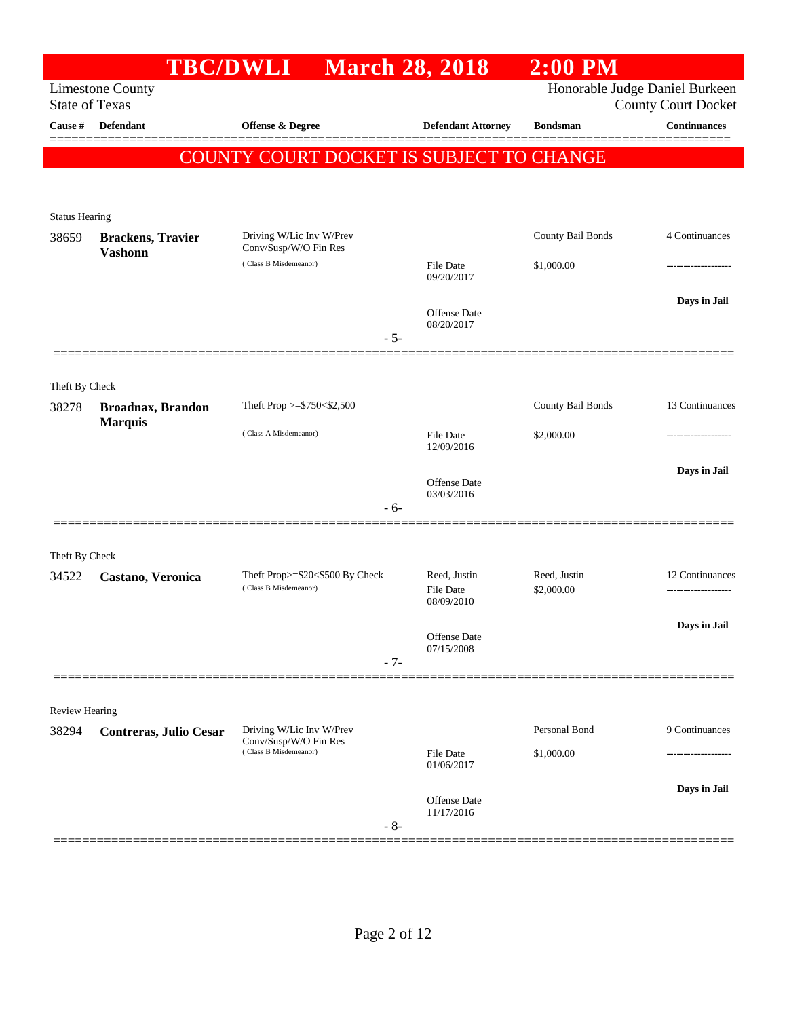|                                  | <b>TBC/DWLI</b>               |                                                 | <b>March 28, 2018</b>      | $2:00$ PM         |                                                   |
|----------------------------------|-------------------------------|-------------------------------------------------|----------------------------|-------------------|---------------------------------------------------|
|                                  | <b>Limestone County</b>       |                                                 |                            |                   | Honorable Judge Daniel Burkeen                    |
| <b>State of Texas</b><br>Cause # | Defendant                     | Offense & Degree                                | <b>Defendant Attorney</b>  | <b>Bondsman</b>   | <b>County Court Docket</b><br><b>Continuances</b> |
|                                  |                               |                                                 |                            |                   |                                                   |
|                                  |                               | <b>COUNTY COURT DOCKET IS SUBJECT TO CHANGE</b> |                            |                   |                                                   |
|                                  |                               |                                                 |                            |                   |                                                   |
| <b>Status Hearing</b>            |                               |                                                 |                            |                   |                                                   |
| 38659                            | <b>Brackens</b> , Travier     | Driving W/Lic Inv W/Prev                        |                            | County Bail Bonds | 4 Continuances                                    |
|                                  | <b>Vashonn</b>                | Conv/Susp/W/O Fin Res                           |                            |                   |                                                   |
|                                  |                               | (Class B Misdemeanor)                           | File Date<br>09/20/2017    | \$1,000.00        |                                                   |
|                                  |                               |                                                 |                            |                   | Days in Jail                                      |
|                                  |                               |                                                 | Offense Date<br>08/20/2017 |                   |                                                   |
|                                  |                               |                                                 | $-5-$                      |                   |                                                   |
|                                  |                               |                                                 |                            |                   |                                                   |
| Theft By Check                   |                               |                                                 |                            |                   |                                                   |
| 38278                            | <b>Broadnax, Brandon</b>      | Theft Prop >= $$750<$2,500$                     |                            | County Bail Bonds | 13 Continuances                                   |
|                                  | <b>Marquis</b>                | (Class A Misdemeanor)                           | <b>File Date</b>           | \$2,000.00        |                                                   |
|                                  |                               |                                                 | 12/09/2016                 |                   |                                                   |
|                                  |                               |                                                 | Offense Date               |                   | Days in Jail                                      |
|                                  |                               |                                                 | 03/03/2016<br>$-6-$        |                   |                                                   |
|                                  |                               |                                                 |                            |                   |                                                   |
|                                  |                               |                                                 |                            |                   |                                                   |
| Theft By Check<br>34522          | Castano, Veronica             | Theft Prop>=\$20<\$500 By Check                 | Reed, Justin               | Reed, Justin      | 12 Continuances                                   |
|                                  |                               | (Class B Misdemeanor)                           | <b>File Date</b>           | \$2,000.00        |                                                   |
|                                  |                               |                                                 | 08/09/2010                 |                   |                                                   |
|                                  |                               |                                                 | Offense Date               |                   | Days in Jail                                      |
|                                  |                               |                                                 | 07/15/2008<br>$-7-$        |                   |                                                   |
|                                  |                               |                                                 |                            |                   |                                                   |
| <b>Review Hearing</b>            |                               |                                                 |                            |                   |                                                   |
| 38294                            | <b>Contreras, Julio Cesar</b> | Driving W/Lic Inv W/Prev                        |                            | Personal Bond     | 9 Continuances                                    |
|                                  |                               | Conv/Susp/W/O Fin Res<br>(Class B Misdemeanor)  | <b>File Date</b>           | \$1,000.00        |                                                   |
|                                  |                               |                                                 | 01/06/2017                 |                   |                                                   |
|                                  |                               |                                                 | Offense Date               |                   | Days in Jail                                      |
|                                  |                               |                                                 | 11/17/2016                 |                   |                                                   |
|                                  |                               |                                                 | $-8-$                      |                   |                                                   |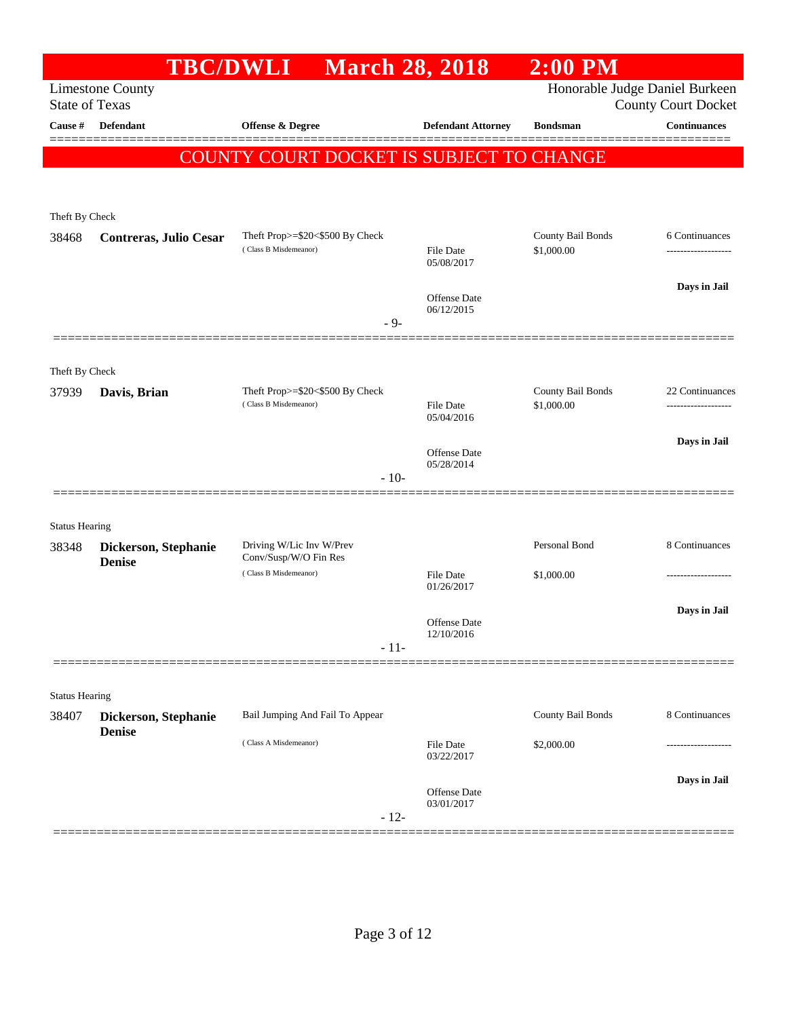|                       | <b>TBC/DWLI</b>                       | <b>March 28, 2018</b>                             |                                   | $2:00$ PM         |                                                              |
|-----------------------|---------------------------------------|---------------------------------------------------|-----------------------------------|-------------------|--------------------------------------------------------------|
| <b>State of Texas</b> | <b>Limestone County</b>               |                                                   |                                   |                   | Honorable Judge Daniel Burkeen<br><b>County Court Docket</b> |
| Cause #               | <b>Defendant</b>                      | <b>Offense &amp; Degree</b>                       | <b>Defendant Attorney</b>         | <b>Bondsman</b>   | <b>Continuances</b>                                          |
|                       |                                       | COUNTY COURT DOCKET IS SUBJECT TO CHANGE          |                                   |                   |                                                              |
|                       |                                       |                                                   |                                   |                   |                                                              |
| Theft By Check        |                                       |                                                   |                                   |                   |                                                              |
| 38468                 | Contreras, Julio Cesar                | Theft Prop>=\$20<\$500 By Check                   |                                   | County Bail Bonds | 6 Continuances                                               |
|                       |                                       | (Class B Misdemeanor)                             | <b>File Date</b><br>05/08/2017    | \$1,000.00        | ------------------                                           |
|                       |                                       |                                                   | <b>Offense Date</b>               |                   | Days in Jail                                                 |
|                       |                                       | $-9-$                                             | 06/12/2015                        |                   |                                                              |
|                       |                                       |                                                   |                                   |                   |                                                              |
| Theft By Check        |                                       |                                                   |                                   |                   |                                                              |
| 37939                 | Davis, Brian                          | Theft Prop>=\$20<\$500 By Check                   |                                   | County Bail Bonds | 22 Continuances                                              |
|                       |                                       | (Class B Misdemeanor)                             | File Date<br>05/04/2016           | \$1,000.00        | ------------------                                           |
|                       |                                       |                                                   | Offense Date                      |                   | Days in Jail                                                 |
|                       |                                       | $-10-$                                            | 05/28/2014                        |                   |                                                              |
|                       |                                       |                                                   |                                   |                   |                                                              |
| <b>Status Hearing</b> |                                       |                                                   |                                   |                   |                                                              |
| 38348                 | Dickerson, Stephanie                  | Driving W/Lic Inv W/Prev<br>Conv/Susp/W/O Fin Res |                                   | Personal Bond     | 8 Continuances                                               |
|                       | <b>Denise</b>                         | (Class B Misdemeanor)                             | <b>File Date</b>                  | \$1,000.00        | ------------------                                           |
|                       |                                       |                                                   | 01/26/2017                        |                   | Days in Jail                                                 |
|                       |                                       |                                                   | <b>Offense Date</b><br>12/10/2016 |                   |                                                              |
|                       |                                       | $-11-$                                            |                                   |                   |                                                              |
|                       |                                       |                                                   |                                   |                   |                                                              |
| <b>Status Hearing</b> |                                       |                                                   |                                   |                   | 8 Continuances                                               |
| 38407                 | Dickerson, Stephanie<br><b>Denise</b> | Bail Jumping And Fail To Appear                   |                                   | County Bail Bonds |                                                              |
|                       |                                       | (Class A Misdemeanor)                             | <b>File Date</b><br>03/22/2017    | \$2,000.00        |                                                              |
|                       |                                       |                                                   | <b>Offense Date</b>               |                   | Days in Jail                                                 |
|                       |                                       | $-12-$                                            | 03/01/2017                        |                   |                                                              |
|                       |                                       |                                                   |                                   |                   |                                                              |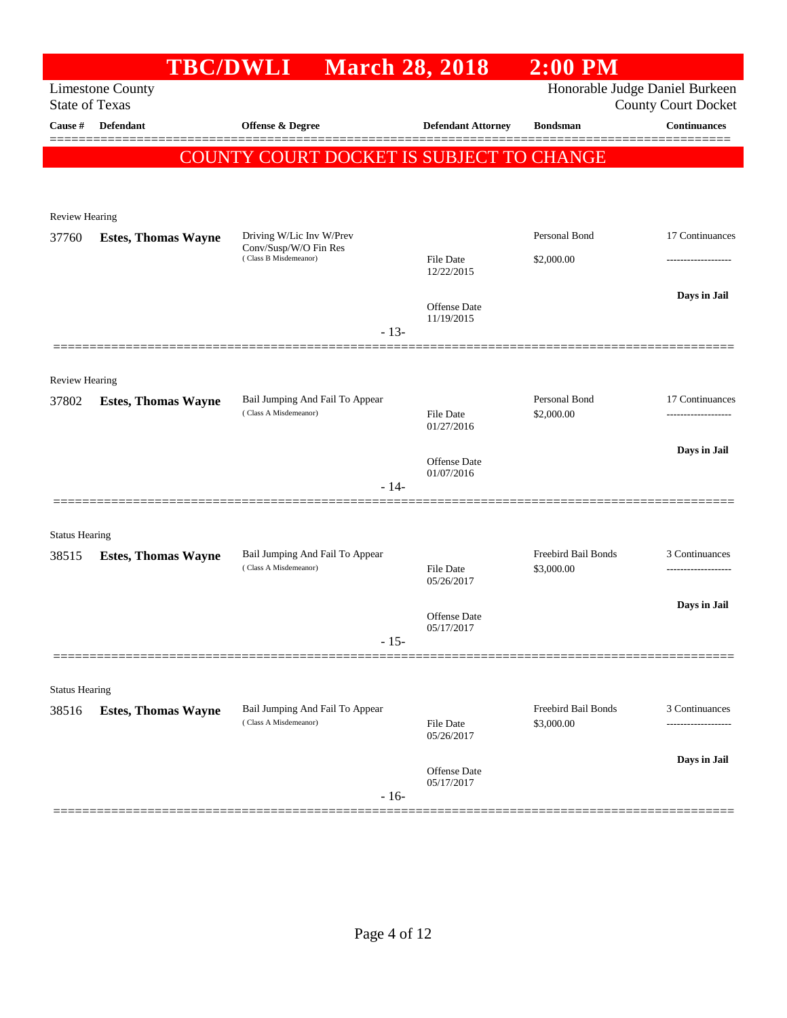|                       |                            | <b>TBC/DWLI</b>                                          | <b>March 28, 2018</b>             | $2:00$ PM                      |                                                   |
|-----------------------|----------------------------|----------------------------------------------------------|-----------------------------------|--------------------------------|---------------------------------------------------|
|                       | <b>Limestone County</b>    |                                                          |                                   | Honorable Judge Daniel Burkeen |                                                   |
| <b>State of Texas</b> | Cause # Defendant          | <b>Offense &amp; Degree</b>                              | <b>Defendant Attorney</b>         | <b>Bondsman</b>                | <b>County Court Docket</b><br><b>Continuances</b> |
|                       |                            |                                                          |                                   |                                | =======                                           |
|                       |                            | COUNTY COURT DOCKET IS SUBJECT TO CHANGE                 |                                   |                                |                                                   |
|                       |                            |                                                          |                                   |                                |                                                   |
| Review Hearing        |                            |                                                          |                                   |                                |                                                   |
| 37760                 | <b>Estes, Thomas Wayne</b> | Driving W/Lic Inv W/Prev                                 |                                   | Personal Bond                  | 17 Continuances                                   |
|                       |                            | Conv/Susp/W/O Fin Res<br>(Class B Misdemeanor)           | File Date                         | \$2,000.00                     | ----------------                                  |
|                       |                            |                                                          | 12/22/2015                        |                                |                                                   |
|                       |                            |                                                          | Offense Date                      |                                | Days in Jail                                      |
|                       |                            | $-13-$                                                   | 11/19/2015                        |                                |                                                   |
|                       |                            |                                                          |                                   |                                |                                                   |
| <b>Review Hearing</b> |                            |                                                          |                                   |                                |                                                   |
| 37802                 | <b>Estes, Thomas Wayne</b> | Bail Jumping And Fail To Appear                          |                                   | Personal Bond                  | 17 Continuances                                   |
|                       |                            | (Class A Misdemeanor)                                    | File Date<br>01/27/2016           | \$2,000.00                     |                                                   |
|                       |                            |                                                          |                                   |                                | Days in Jail                                      |
|                       |                            |                                                          | <b>Offense Date</b><br>01/07/2016 |                                |                                                   |
|                       |                            | $-14-$                                                   |                                   |                                |                                                   |
|                       |                            |                                                          |                                   |                                |                                                   |
| <b>Status Hearing</b> |                            |                                                          |                                   | Freebird Bail Bonds            |                                                   |
| 38515                 | <b>Estes, Thomas Wayne</b> | Bail Jumping And Fail To Appear<br>(Class A Misdemeanor) | File Date                         | \$3,000.00                     | 3 Continuances                                    |
|                       |                            |                                                          | 05/26/2017                        |                                |                                                   |
|                       |                            |                                                          | <b>Offense Date</b>               |                                | Days in Jail                                      |
|                       |                            | $-15-$                                                   | 05/17/2017                        |                                |                                                   |
|                       |                            |                                                          |                                   |                                |                                                   |
| <b>Status Hearing</b> |                            |                                                          |                                   |                                |                                                   |
| 38516                 | <b>Estes, Thomas Wayne</b> | Bail Jumping And Fail To Appear                          |                                   | Freebird Bail Bonds            | 3 Continuances                                    |
|                       |                            | (Class A Misdemeanor)                                    | <b>File Date</b><br>05/26/2017    | \$3,000.00                     |                                                   |
|                       |                            |                                                          |                                   |                                | Days in Jail                                      |
|                       |                            |                                                          | Offense Date<br>05/17/2017        |                                |                                                   |
|                       |                            | $-16-$                                                   |                                   |                                |                                                   |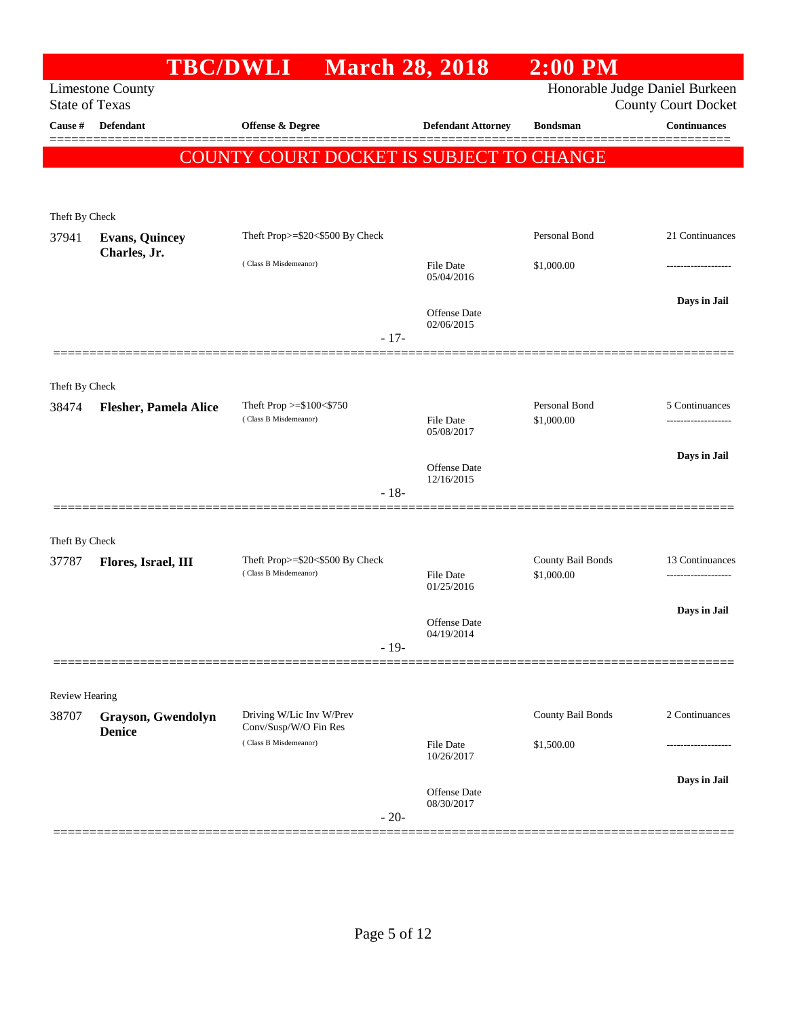|                       |                                     | <b>TBC/DWLI</b>                                      | <b>March 28, 2018</b>             | $2:00$ PM                      |                                      |
|-----------------------|-------------------------------------|------------------------------------------------------|-----------------------------------|--------------------------------|--------------------------------------|
| <b>State of Texas</b> | <b>Limestone County</b>             |                                                      |                                   | Honorable Judge Daniel Burkeen | <b>County Court Docket</b>           |
| <b>Cause #</b>        | Defendant                           | <b>Offense &amp; Degree</b>                          | <b>Defendant Attorney</b>         | <b>Bondsman</b>                | <b>Continuances</b><br>=======       |
|                       |                                     | COUNTY COURT DOCKET IS SUBJECT TO CHANGE             |                                   |                                |                                      |
|                       |                                     |                                                      |                                   |                                |                                      |
| Theft By Check        |                                     |                                                      |                                   |                                |                                      |
| 37941                 | <b>Evans, Quincey</b>               | Theft Prop>=\$20<\$500 By Check                      |                                   | Personal Bond                  | 21 Continuances                      |
|                       | Charles, Jr.                        | (Class B Misdemeanor)                                | <b>File Date</b><br>05/04/2016    | \$1,000.00                     |                                      |
|                       |                                     | $-17-$                                               | <b>Offense Date</b><br>02/06/2015 |                                | Days in Jail                         |
|                       |                                     |                                                      |                                   |                                |                                      |
| Theft By Check        |                                     |                                                      |                                   |                                |                                      |
| 38474                 | <b>Flesher, Pamela Alice</b>        | Theft Prop $>= $100 < $750$<br>(Class B Misdemeanor) | File Date                         | Personal Bond<br>\$1,000.00    | 5 Continuances<br>------------------ |
|                       |                                     |                                                      | 05/08/2017                        |                                |                                      |
|                       |                                     |                                                      | <b>Offense Date</b><br>12/16/2015 |                                | Days in Jail                         |
|                       |                                     | $-18-$                                               |                                   |                                |                                      |
| Theft By Check        |                                     |                                                      |                                   |                                |                                      |
| 37787                 | Flores, Israel, III                 | Theft Prop>=\$20<\$500 By Check                      |                                   | County Bail Bonds              | 13 Continuances                      |
|                       |                                     | (Class B Misdemeanor)                                | <b>File Date</b><br>01/25/2016    | \$1,000.00                     |                                      |
|                       |                                     |                                                      | <b>Offense Date</b>               |                                | Days in Jail                         |
|                       |                                     | $-19-$                                               | 04/19/2014                        |                                |                                      |
|                       |                                     |                                                      |                                   |                                |                                      |
| <b>Review Hearing</b> |                                     |                                                      |                                   |                                |                                      |
| 38707                 | Grayson, Gwendolyn<br><b>Denice</b> | Driving W/Lic Inv W/Prev<br>Conv/Susp/W/O Fin Res    |                                   | County Bail Bonds              | 2 Continuances                       |
|                       |                                     | (Class B Misdemeanor)                                | <b>File Date</b><br>10/26/2017    | \$1,500.00                     |                                      |
|                       |                                     |                                                      | Offense Date                      |                                | Days in Jail                         |
|                       |                                     | $-20-$                                               | 08/30/2017                        |                                |                                      |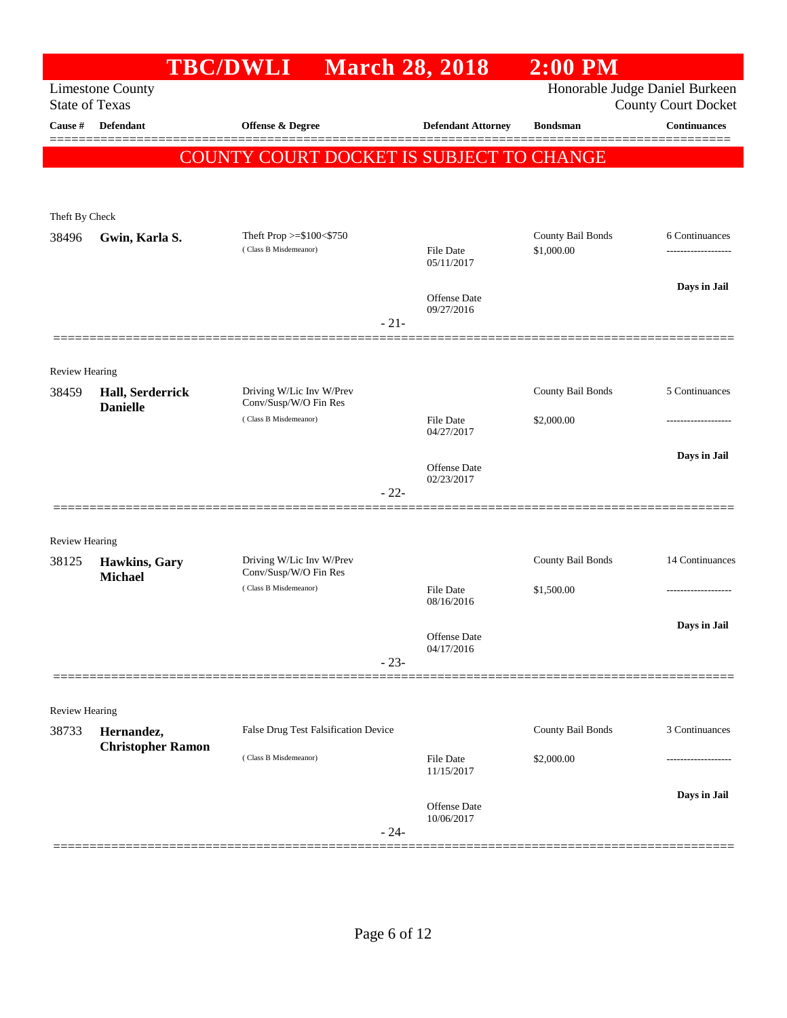|                                  |                                         | <b>TBC/DWLI</b>                                   | <b>March 28, 2018</b>          | $2:00$ PM         |                                                   |
|----------------------------------|-----------------------------------------|---------------------------------------------------|--------------------------------|-------------------|---------------------------------------------------|
|                                  | <b>Limestone County</b>                 |                                                   |                                |                   | Honorable Judge Daniel Burkeen                    |
| <b>State of Texas</b><br>Cause # | <b>Defendant</b>                        | Offense & Degree                                  | <b>Defendant Attorney</b>      | <b>Bondsman</b>   | <b>County Court Docket</b><br><b>Continuances</b> |
|                                  |                                         |                                                   |                                |                   |                                                   |
|                                  |                                         | COUNTY COURT DOCKET IS SUBJECT TO CHANGE          |                                |                   |                                                   |
|                                  |                                         |                                                   |                                |                   |                                                   |
| Theft By Check                   |                                         |                                                   |                                |                   |                                                   |
| 38496                            | Gwin, Karla S.                          | Theft Prop >=\$100<\$750                          |                                | County Bail Bonds | 6 Continuances                                    |
|                                  |                                         | (Class B Misdemeanor)                             | <b>File Date</b><br>05/11/2017 | \$1,000.00        |                                                   |
|                                  |                                         |                                                   |                                |                   | Days in Jail                                      |
|                                  |                                         |                                                   | Offense Date<br>09/27/2016     |                   |                                                   |
|                                  |                                         |                                                   | $-21-$                         |                   |                                                   |
|                                  |                                         |                                                   |                                |                   |                                                   |
| <b>Review Hearing</b>            |                                         |                                                   |                                |                   |                                                   |
| 38459                            | Hall, Serderrick<br><b>Danielle</b>     | Driving W/Lic Inv W/Prev<br>Conv/Susp/W/O Fin Res |                                | County Bail Bonds | 5 Continuances                                    |
|                                  |                                         | (Class B Misdemeanor)                             | <b>File Date</b><br>04/27/2017 | \$2,000.00        | -----------------                                 |
|                                  |                                         |                                                   |                                |                   | Days in Jail                                      |
|                                  |                                         |                                                   | Offense Date<br>02/23/2017     |                   |                                                   |
|                                  |                                         |                                                   | $-22-$                         |                   |                                                   |
|                                  |                                         |                                                   |                                |                   |                                                   |
| <b>Review Hearing</b>            |                                         |                                                   |                                |                   |                                                   |
| 38125                            | <b>Hawkins</b> , Gary<br><b>Michael</b> | Driving W/Lic Inv W/Prev<br>Conv/Susp/W/O Fin Res |                                | County Bail Bonds | 14 Continuances                                   |
|                                  |                                         | (Class B Misdemeanor)                             | <b>File Date</b>               | \$1,500.00        | -----------------                                 |
|                                  |                                         |                                                   | 08/16/2016                     |                   |                                                   |
|                                  |                                         |                                                   | Offense Date<br>04/17/2016     |                   | Days in Jail                                      |
|                                  |                                         |                                                   | $-23-$                         |                   |                                                   |
|                                  |                                         |                                                   |                                |                   |                                                   |
| <b>Review Hearing</b>            |                                         |                                                   |                                |                   |                                                   |
| 38733                            | Hernandez,                              | False Drug Test Falsification Device              |                                | County Bail Bonds | 3 Continuances                                    |
|                                  | <b>Christopher Ramon</b>                | (Class B Misdemeanor)                             | <b>File Date</b>               | \$2,000.00        |                                                   |
|                                  |                                         |                                                   | 11/15/2017                     |                   |                                                   |
|                                  |                                         |                                                   | <b>Offense Date</b>            |                   | Days in Jail                                      |
|                                  |                                         |                                                   | 10/06/2017<br>$-24-$           |                   |                                                   |
|                                  |                                         |                                                   |                                |                   |                                                   |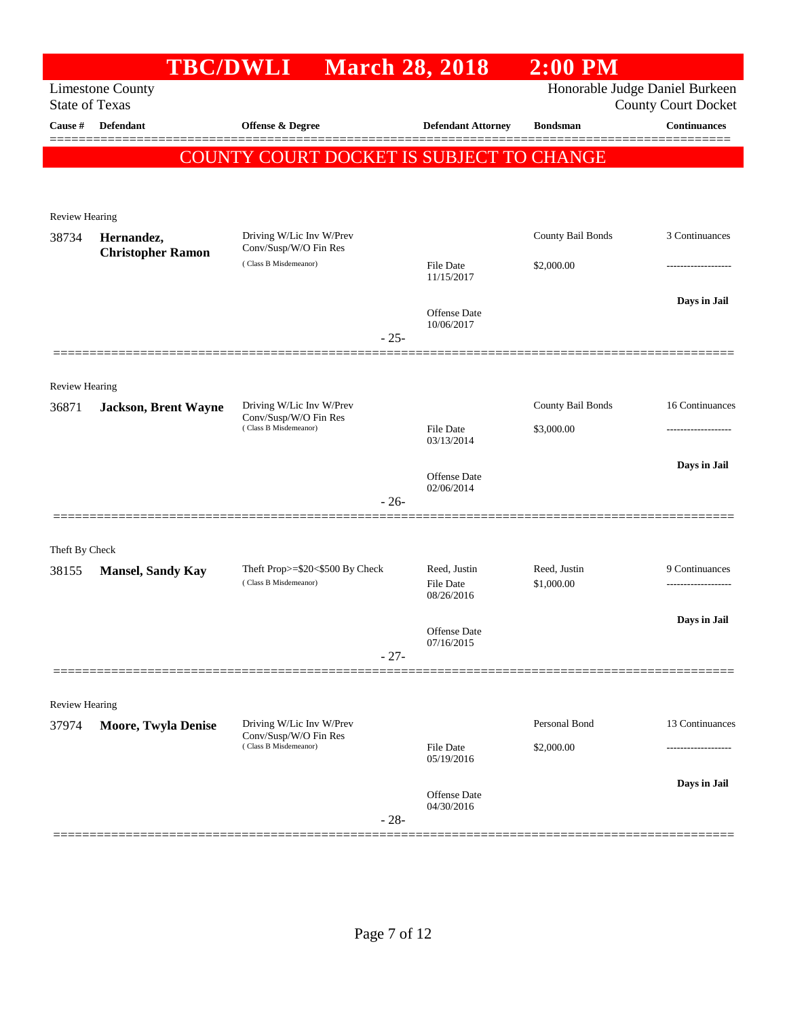|                                | <b>TBC/DWLI</b>             |                                                   | <b>March 28, 2018</b>          | $2:00$ PM         |                                |
|--------------------------------|-----------------------------|---------------------------------------------------|--------------------------------|-------------------|--------------------------------|
|                                | <b>Limestone County</b>     |                                                   |                                |                   | Honorable Judge Daniel Burkeen |
| <b>State of Texas</b>          |                             |                                                   |                                |                   | <b>County Court Docket</b>     |
| Cause #                        | Defendant                   | Offense $\&$ Degree                               | <b>Defendant Attorney</b>      | <b>Bondsman</b>   | <b>Continuances</b>            |
|                                |                             | COUNTY COURT DOCKET IS SUBJECT TO CHANGE          |                                |                   |                                |
|                                |                             |                                                   |                                |                   |                                |
|                                |                             |                                                   |                                |                   |                                |
| <b>Review Hearing</b><br>38734 | Hernandez,                  | Driving W/Lic Inv W/Prev                          |                                | County Bail Bonds | 3 Continuances                 |
|                                | <b>Christopher Ramon</b>    | Conv/Susp/W/O Fin Res                             |                                |                   |                                |
|                                |                             | (Class B Misdemeanor)                             | <b>File Date</b><br>11/15/2017 | \$2,000.00        |                                |
|                                |                             |                                                   |                                |                   | Days in Jail                   |
|                                |                             |                                                   | Offense Date<br>10/06/2017     |                   |                                |
|                                |                             | $-25-$                                            |                                |                   |                                |
|                                |                             |                                                   |                                |                   |                                |
| <b>Review Hearing</b>          |                             |                                                   |                                |                   |                                |
| 36871                          | <b>Jackson, Brent Wayne</b> | Driving W/Lic Inv W/Prev<br>Conv/Susp/W/O Fin Res |                                | County Bail Bonds | 16 Continuances                |
|                                |                             | (Class B Misdemeanor)                             | <b>File Date</b><br>03/13/2014 | \$3,000.00        | .                              |
|                                |                             |                                                   |                                |                   |                                |
|                                |                             |                                                   | <b>Offense</b> Date            |                   | Days in Jail                   |
|                                |                             | $-26-$                                            | 02/06/2014                     |                   |                                |
|                                |                             |                                                   |                                |                   |                                |
| Theft By Check                 |                             |                                                   |                                |                   |                                |
| 38155                          | <b>Mansel, Sandy Kay</b>    | Theft Prop>=\$20<\$500 By Check                   | Reed, Justin                   | Reed, Justin      | 9 Continuances                 |
|                                |                             | (Class B Misdemeanor)                             | <b>File Date</b><br>08/26/2016 | \$1,000.00        |                                |
|                                |                             |                                                   |                                |                   | Days in Jail                   |
|                                |                             |                                                   | Offense Date<br>07/16/2015     |                   |                                |
|                                |                             | $-27-$                                            |                                |                   |                                |
|                                |                             |                                                   |                                |                   |                                |
| <b>Review Hearing</b>          |                             |                                                   |                                |                   |                                |
| 37974                          | <b>Moore, Twyla Denise</b>  | Driving W/Lic Inv W/Prev<br>Conv/Susp/W/O Fin Res |                                | Personal Bond     | 13 Continuances                |
|                                |                             | (Class B Misdemeanor)                             | File Date                      | \$2,000.00        |                                |
|                                |                             |                                                   | 05/19/2016                     |                   |                                |
|                                |                             |                                                   | Offense Date                   |                   | Days in Jail                   |
|                                |                             | $-28-$                                            | 04/30/2016                     |                   |                                |
|                                |                             |                                                   |                                |                   |                                |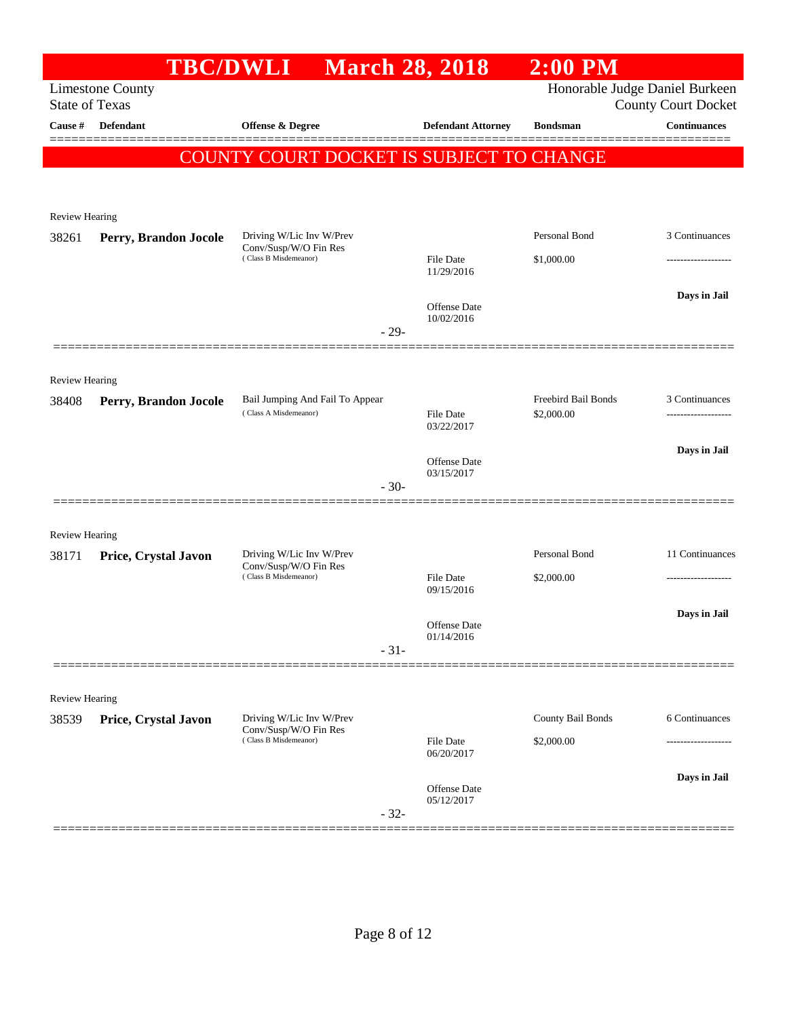| Honorable Judge Daniel Burkeen<br><b>Limestone County</b><br><b>State of Texas</b><br><b>County Court Docket</b><br><b>Continuances</b><br>Defendant<br>Offense & Degree<br><b>Defendant Attorney</b><br><b>Cause</b> #<br><b>Bondsman</b><br><b>COUNTY COURT DOCKET IS SUBJECT TO CHANGE</b><br><b>Review Hearing</b><br>Personal Bond<br>3 Continuances<br>Driving W/Lic Inv W/Prev<br>Perry, Brandon Jocole<br>Conv/Susp/W/O Fin Res<br>(Class B Misdemeanor)<br><b>File Date</b><br>\$1,000.00<br>11/29/2016<br>Days in Jail<br>Offense Date<br>10/02/2016<br>$-29-$<br><b>Review Hearing</b><br>Freebird Bail Bonds<br>3 Continuances<br>Bail Jumping And Fail To Appear<br>38408<br>Perry, Brandon Jocole<br>(Class A Misdemeanor)<br>File Date<br>\$2,000.00<br>03/22/2017<br>Days in Jail<br>Offense Date<br>03/15/2017<br>$-30-$<br>Review Hearing<br>Personal Bond<br>Driving W/Lic Inv W/Prev<br>Price, Crystal Javon<br>Conv/Susp/W/O Fin Res<br>(Class B Misdemeanor)<br><b>File Date</b><br>\$2,000.00<br>09/15/2016<br>Days in Jail<br>Offense Date<br>01/14/2016<br>$-31-$<br><b>Review Hearing</b><br>Driving W/Lic Inv W/Prev<br>County Bail Bonds<br>6 Continuances<br>Price, Crystal Javon<br>Conv/Susp/W/O Fin Res<br>(Class B Misdemeanor)<br><b>File Date</b><br>\$2,000.00<br>--------------<br>06/20/2017<br>Days in Jail<br>Offense Date<br>05/12/2017<br>$-32-$ |       | <b>TBC/DWLI</b> | <b>March 28, 2018</b> | $2:00$ PM |                 |
|--------------------------------------------------------------------------------------------------------------------------------------------------------------------------------------------------------------------------------------------------------------------------------------------------------------------------------------------------------------------------------------------------------------------------------------------------------------------------------------------------------------------------------------------------------------------------------------------------------------------------------------------------------------------------------------------------------------------------------------------------------------------------------------------------------------------------------------------------------------------------------------------------------------------------------------------------------------------------------------------------------------------------------------------------------------------------------------------------------------------------------------------------------------------------------------------------------------------------------------------------------------------------------------------------------------------------------------------------------------------------------------------|-------|-----------------|-----------------------|-----------|-----------------|
|                                                                                                                                                                                                                                                                                                                                                                                                                                                                                                                                                                                                                                                                                                                                                                                                                                                                                                                                                                                                                                                                                                                                                                                                                                                                                                                                                                                            |       |                 |                       |           |                 |
|                                                                                                                                                                                                                                                                                                                                                                                                                                                                                                                                                                                                                                                                                                                                                                                                                                                                                                                                                                                                                                                                                                                                                                                                                                                                                                                                                                                            |       |                 |                       |           |                 |
|                                                                                                                                                                                                                                                                                                                                                                                                                                                                                                                                                                                                                                                                                                                                                                                                                                                                                                                                                                                                                                                                                                                                                                                                                                                                                                                                                                                            |       |                 |                       |           |                 |
|                                                                                                                                                                                                                                                                                                                                                                                                                                                                                                                                                                                                                                                                                                                                                                                                                                                                                                                                                                                                                                                                                                                                                                                                                                                                                                                                                                                            |       |                 |                       |           |                 |
|                                                                                                                                                                                                                                                                                                                                                                                                                                                                                                                                                                                                                                                                                                                                                                                                                                                                                                                                                                                                                                                                                                                                                                                                                                                                                                                                                                                            |       |                 |                       |           |                 |
|                                                                                                                                                                                                                                                                                                                                                                                                                                                                                                                                                                                                                                                                                                                                                                                                                                                                                                                                                                                                                                                                                                                                                                                                                                                                                                                                                                                            | 38261 |                 |                       |           |                 |
|                                                                                                                                                                                                                                                                                                                                                                                                                                                                                                                                                                                                                                                                                                                                                                                                                                                                                                                                                                                                                                                                                                                                                                                                                                                                                                                                                                                            |       |                 |                       |           |                 |
|                                                                                                                                                                                                                                                                                                                                                                                                                                                                                                                                                                                                                                                                                                                                                                                                                                                                                                                                                                                                                                                                                                                                                                                                                                                                                                                                                                                            |       |                 |                       |           |                 |
|                                                                                                                                                                                                                                                                                                                                                                                                                                                                                                                                                                                                                                                                                                                                                                                                                                                                                                                                                                                                                                                                                                                                                                                                                                                                                                                                                                                            |       |                 |                       |           |                 |
|                                                                                                                                                                                                                                                                                                                                                                                                                                                                                                                                                                                                                                                                                                                                                                                                                                                                                                                                                                                                                                                                                                                                                                                                                                                                                                                                                                                            |       |                 |                       |           |                 |
|                                                                                                                                                                                                                                                                                                                                                                                                                                                                                                                                                                                                                                                                                                                                                                                                                                                                                                                                                                                                                                                                                                                                                                                                                                                                                                                                                                                            |       |                 |                       |           |                 |
|                                                                                                                                                                                                                                                                                                                                                                                                                                                                                                                                                                                                                                                                                                                                                                                                                                                                                                                                                                                                                                                                                                                                                                                                                                                                                                                                                                                            |       |                 |                       |           |                 |
|                                                                                                                                                                                                                                                                                                                                                                                                                                                                                                                                                                                                                                                                                                                                                                                                                                                                                                                                                                                                                                                                                                                                                                                                                                                                                                                                                                                            |       |                 |                       |           |                 |
|                                                                                                                                                                                                                                                                                                                                                                                                                                                                                                                                                                                                                                                                                                                                                                                                                                                                                                                                                                                                                                                                                                                                                                                                                                                                                                                                                                                            |       |                 |                       |           |                 |
|                                                                                                                                                                                                                                                                                                                                                                                                                                                                                                                                                                                                                                                                                                                                                                                                                                                                                                                                                                                                                                                                                                                                                                                                                                                                                                                                                                                            |       |                 |                       |           |                 |
|                                                                                                                                                                                                                                                                                                                                                                                                                                                                                                                                                                                                                                                                                                                                                                                                                                                                                                                                                                                                                                                                                                                                                                                                                                                                                                                                                                                            |       |                 |                       |           |                 |
|                                                                                                                                                                                                                                                                                                                                                                                                                                                                                                                                                                                                                                                                                                                                                                                                                                                                                                                                                                                                                                                                                                                                                                                                                                                                                                                                                                                            |       |                 |                       |           |                 |
|                                                                                                                                                                                                                                                                                                                                                                                                                                                                                                                                                                                                                                                                                                                                                                                                                                                                                                                                                                                                                                                                                                                                                                                                                                                                                                                                                                                            | 38171 |                 |                       |           | 11 Continuances |
|                                                                                                                                                                                                                                                                                                                                                                                                                                                                                                                                                                                                                                                                                                                                                                                                                                                                                                                                                                                                                                                                                                                                                                                                                                                                                                                                                                                            |       |                 |                       |           |                 |
|                                                                                                                                                                                                                                                                                                                                                                                                                                                                                                                                                                                                                                                                                                                                                                                                                                                                                                                                                                                                                                                                                                                                                                                                                                                                                                                                                                                            |       |                 |                       |           |                 |
|                                                                                                                                                                                                                                                                                                                                                                                                                                                                                                                                                                                                                                                                                                                                                                                                                                                                                                                                                                                                                                                                                                                                                                                                                                                                                                                                                                                            |       |                 |                       |           |                 |
|                                                                                                                                                                                                                                                                                                                                                                                                                                                                                                                                                                                                                                                                                                                                                                                                                                                                                                                                                                                                                                                                                                                                                                                                                                                                                                                                                                                            |       |                 |                       |           |                 |
|                                                                                                                                                                                                                                                                                                                                                                                                                                                                                                                                                                                                                                                                                                                                                                                                                                                                                                                                                                                                                                                                                                                                                                                                                                                                                                                                                                                            |       |                 |                       |           |                 |
|                                                                                                                                                                                                                                                                                                                                                                                                                                                                                                                                                                                                                                                                                                                                                                                                                                                                                                                                                                                                                                                                                                                                                                                                                                                                                                                                                                                            | 38539 |                 |                       |           |                 |
|                                                                                                                                                                                                                                                                                                                                                                                                                                                                                                                                                                                                                                                                                                                                                                                                                                                                                                                                                                                                                                                                                                                                                                                                                                                                                                                                                                                            |       |                 |                       |           |                 |
|                                                                                                                                                                                                                                                                                                                                                                                                                                                                                                                                                                                                                                                                                                                                                                                                                                                                                                                                                                                                                                                                                                                                                                                                                                                                                                                                                                                            |       |                 |                       |           |                 |
|                                                                                                                                                                                                                                                                                                                                                                                                                                                                                                                                                                                                                                                                                                                                                                                                                                                                                                                                                                                                                                                                                                                                                                                                                                                                                                                                                                                            |       |                 |                       |           |                 |
|                                                                                                                                                                                                                                                                                                                                                                                                                                                                                                                                                                                                                                                                                                                                                                                                                                                                                                                                                                                                                                                                                                                                                                                                                                                                                                                                                                                            |       |                 |                       |           |                 |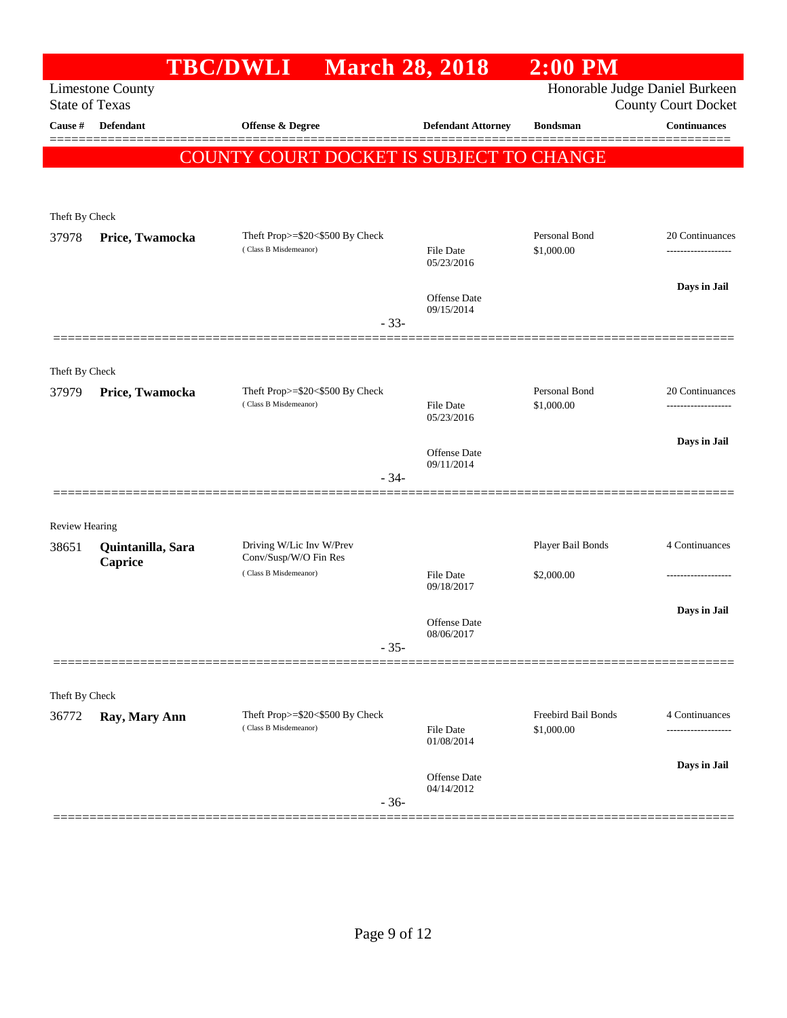|                                |                         | <b>TBC/DWLI</b>                                          | <b>March 28, 2018</b>             | $2:00$ PM                         |                            |
|--------------------------------|-------------------------|----------------------------------------------------------|-----------------------------------|-----------------------------------|----------------------------|
| <b>State of Texas</b>          | <b>Limestone County</b> |                                                          |                                   | Honorable Judge Daniel Burkeen    | <b>County Court Docket</b> |
| Cause #                        | <b>Defendant</b>        | <b>Offense &amp; Degree</b>                              | <b>Defendant Attorney</b>         | <b>Bondsman</b>                   | <b>Continuances</b>        |
|                                |                         | COUNTY COURT DOCKET IS SUBJECT TO CHANGE                 |                                   |                                   |                            |
|                                |                         |                                                          |                                   |                                   |                            |
| Theft By Check                 |                         |                                                          |                                   |                                   |                            |
| 37978                          | Price, Twamocka         | Theft Prop>=\$20<\$500 By Check<br>(Class B Misdemeanor) |                                   | Personal Bond                     | 20 Continuances            |
|                                |                         |                                                          | <b>File Date</b><br>05/23/2016    | \$1,000.00                        | ------------------         |
|                                |                         |                                                          | Offense Date                      |                                   | Days in Jail               |
|                                |                         | $-33-$                                                   | 09/15/2014                        |                                   |                            |
|                                |                         |                                                          |                                   |                                   |                            |
| Theft By Check                 |                         |                                                          |                                   |                                   |                            |
| 37979                          | Price, Twamocka         | Theft Prop>=\$20<\$500 By Check<br>(Class B Misdemeanor) | <b>File Date</b>                  | Personal Bond<br>\$1,000.00       | 20 Continuances<br>.       |
|                                |                         |                                                          | 05/23/2016                        |                                   |                            |
|                                |                         |                                                          | <b>Offense</b> Date<br>09/11/2014 |                                   | Days in Jail               |
|                                |                         | $-34-$                                                   |                                   |                                   |                            |
|                                |                         |                                                          |                                   |                                   |                            |
| <b>Review Hearing</b><br>38651 | Quintanilla, Sara       | Driving W/Lic Inv W/Prev                                 |                                   | Player Bail Bonds                 | 4 Continuances             |
|                                | Caprice                 | Conv/Susp/W/O Fin Res<br>(Class B Misdemeanor)           | <b>File Date</b>                  | \$2,000.00                        | ------------------         |
|                                |                         |                                                          | 09/18/2017                        |                                   |                            |
|                                |                         |                                                          | Offense Date                      |                                   | Days in Jail               |
|                                |                         | $-35-$                                                   | 08/06/2017                        |                                   |                            |
|                                |                         |                                                          |                                   |                                   |                            |
| Theft By Check                 |                         |                                                          |                                   |                                   |                            |
| 36772                          | Ray, Mary Ann           | Theft Prop>=\$20<\$500 By Check<br>(Class B Misdemeanor) | <b>File Date</b><br>01/08/2014    | Freebird Bail Bonds<br>\$1,000.00 | 4 Continuances<br>.        |
|                                |                         |                                                          | <b>Offense</b> Date               |                                   | Days in Jail               |
|                                |                         | $-36-$                                                   | 04/14/2012                        |                                   |                            |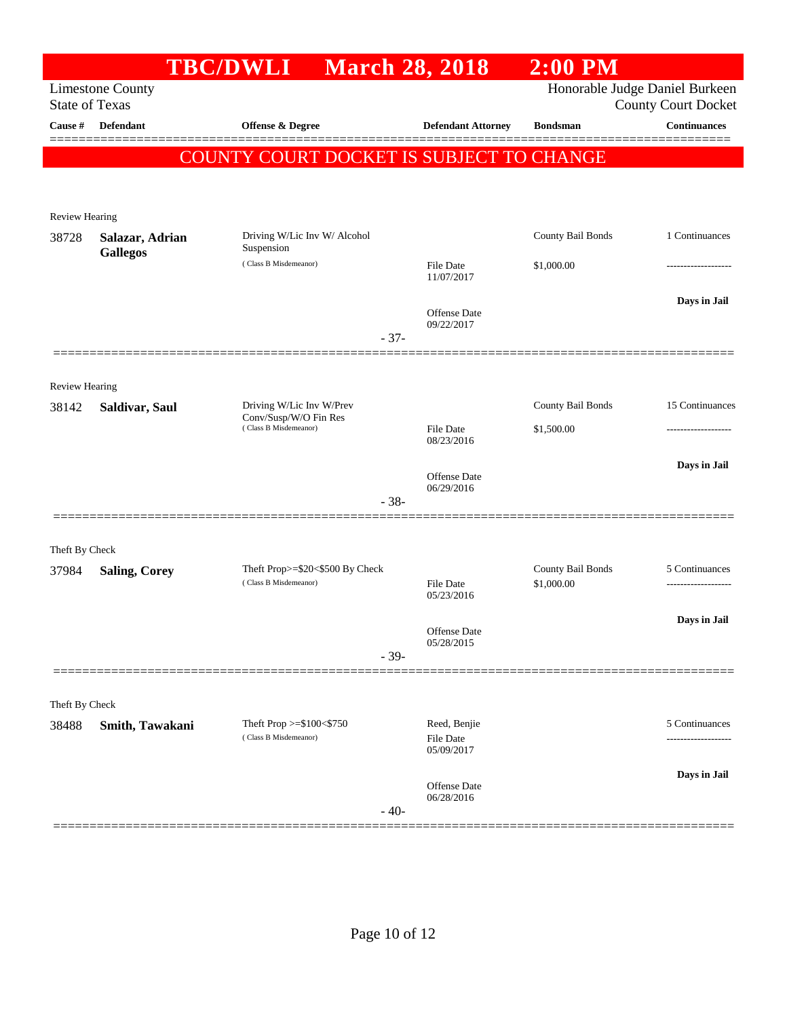|                       |                                    | <b>TBC/DWLI</b>                                          | <b>March 28, 2018</b>     | $2:00$ PM                       |                                |
|-----------------------|------------------------------------|----------------------------------------------------------|---------------------------|---------------------------------|--------------------------------|
|                       | <b>Limestone County</b>            |                                                          |                           |                                 | Honorable Judge Daniel Burkeen |
| <b>State of Texas</b> |                                    |                                                          |                           |                                 | <b>County Court Docket</b>     |
| Cause #               | Defendant                          | Offense & Degree                                         | <b>Defendant Attorney</b> | <b>Bondsman</b>                 | <b>Continuances</b>            |
|                       |                                    | COUNTY COURT DOCKET IS SUBJECT TO CHANGE                 |                           |                                 |                                |
|                       |                                    |                                                          |                           |                                 |                                |
|                       |                                    |                                                          |                           |                                 |                                |
| <b>Review Hearing</b> |                                    |                                                          |                           |                                 |                                |
| 38728                 | Salazar, Adrian<br><b>Gallegos</b> | Driving W/Lic Inv W/ Alcohol<br>Suspension               |                           | County Bail Bonds               | 1 Continuances                 |
|                       |                                    | (Class B Misdemeanor)                                    | File Date                 | \$1,000.00                      | -----------------              |
|                       |                                    |                                                          | 11/07/2017                |                                 |                                |
|                       |                                    |                                                          | Offense Date              |                                 | Days in Jail                   |
|                       |                                    |                                                          | 09/22/2017<br>$-37-$      |                                 |                                |
|                       |                                    |                                                          |                           |                                 |                                |
| <b>Review Hearing</b> |                                    |                                                          |                           |                                 |                                |
| 38142                 | Saldivar, Saul                     | Driving W/Lic Inv W/Prev                                 |                           | County Bail Bonds               | 15 Continuances                |
|                       |                                    | Conv/Susp/W/O Fin Res<br>(Class B Misdemeanor)           | File Date                 | \$1,500.00                      | ---------------                |
|                       |                                    |                                                          | 08/23/2016                |                                 |                                |
|                       |                                    |                                                          | <b>Offense Date</b>       |                                 | Days in Jail                   |
|                       |                                    |                                                          | 06/29/2016                |                                 |                                |
|                       |                                    |                                                          | $-38-$                    |                                 |                                |
|                       |                                    |                                                          |                           |                                 |                                |
| Theft By Check        |                                    |                                                          |                           |                                 |                                |
| 37984                 | <b>Saling, Corey</b>               | Theft Prop>=\$20<\$500 By Check<br>(Class B Misdemeanor) | File Date                 | County Bail Bonds<br>\$1,000.00 | 5 Continuances                 |
|                       |                                    |                                                          | 05/23/2016                |                                 |                                |
|                       |                                    |                                                          | Offense Date              |                                 | Days in Jail                   |
|                       |                                    |                                                          | 05/28/2015<br>$-39-$      |                                 |                                |
|                       |                                    |                                                          |                           |                                 |                                |
|                       |                                    |                                                          |                           |                                 |                                |
| Theft By Check        |                                    |                                                          |                           |                                 | 5 Continuances                 |
| 38488                 | Smith, Tawakani                    | Theft Prop >=\$100<\$750<br>(Class B Misdemeanor)        | Reed, Benjie<br>File Date |                                 |                                |
|                       |                                    |                                                          | 05/09/2017                |                                 |                                |
|                       |                                    |                                                          | Offense Date              |                                 | Days in Jail                   |
|                       |                                    |                                                          | 06/28/2016<br>$-40-$      |                                 |                                |
|                       |                                    |                                                          |                           |                                 |                                |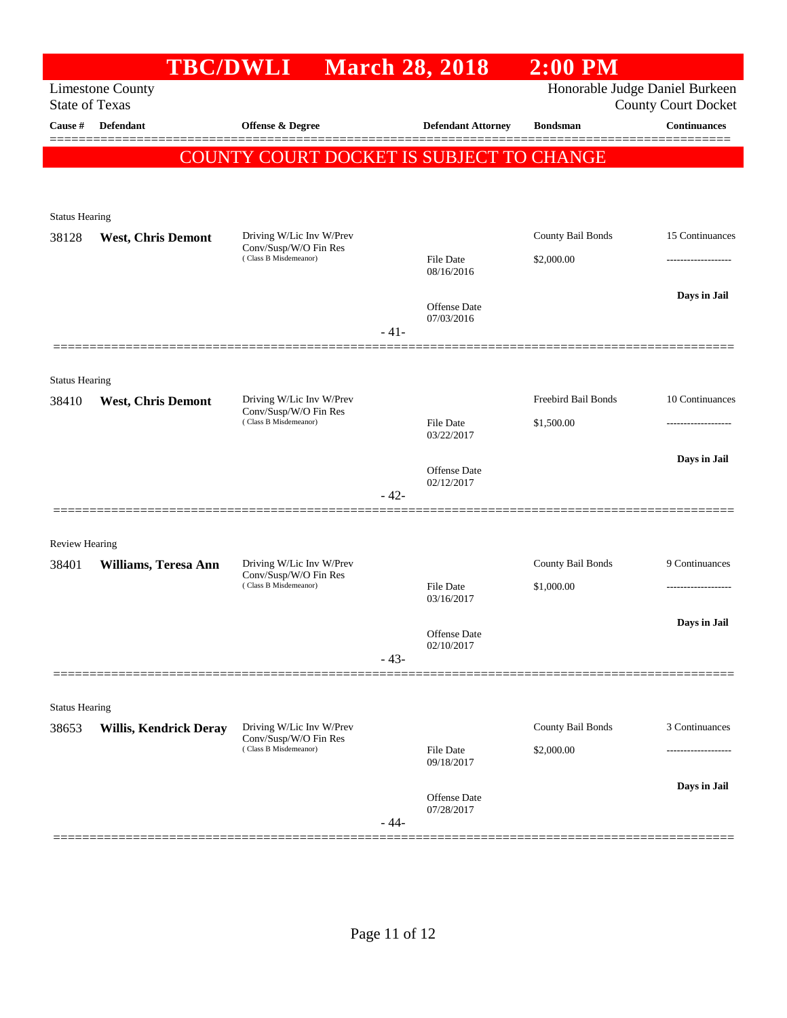|                                  |                               | TBC/DWLI March 28, 2018                                                    |        |                            | $2:00$ PM           |                                                   |
|----------------------------------|-------------------------------|----------------------------------------------------------------------------|--------|----------------------------|---------------------|---------------------------------------------------|
|                                  | <b>Limestone County</b>       |                                                                            |        |                            |                     | Honorable Judge Daniel Burkeen                    |
| <b>State of Texas</b><br>Cause # | Defendant                     | Offense & Degree                                                           |        | <b>Defendant Attorney</b>  | <b>Bondsman</b>     | <b>County Court Docket</b><br><b>Continuances</b> |
|                                  |                               |                                                                            |        |                            |                     |                                                   |
|                                  |                               | COUNTY COURT DOCKET IS SUBJECT TO CHANGE                                   |        |                            |                     |                                                   |
|                                  |                               |                                                                            |        |                            |                     |                                                   |
| <b>Status Hearing</b>            |                               |                                                                            |        |                            |                     |                                                   |
| 38128                            | <b>West, Chris Demont</b>     | Driving W/Lic Inv W/Prev                                                   |        |                            | County Bail Bonds   | 15 Continuances                                   |
|                                  |                               | Conv/Susp/W/O Fin Res<br>(Class B Misdemeanor)                             |        | File Date                  | \$2,000.00          |                                                   |
|                                  |                               |                                                                            |        | 08/16/2016                 |                     |                                                   |
|                                  |                               |                                                                            |        | Offense Date               |                     | Days in Jail                                      |
|                                  |                               |                                                                            | $-41-$ | 07/03/2016                 |                     |                                                   |
|                                  |                               |                                                                            |        |                            |                     |                                                   |
|                                  |                               |                                                                            |        |                            |                     |                                                   |
| <b>Status Hearing</b><br>38410   | <b>West, Chris Demont</b>     | Driving W/Lic Inv W/Prev                                                   |        |                            | Freebird Bail Bonds | 10 Continuances                                   |
|                                  |                               | Conv/Susp/W/O Fin Res<br>(Class B Misdemeanor)                             |        | <b>File Date</b>           | \$1,500.00          |                                                   |
|                                  |                               |                                                                            |        | 03/22/2017                 |                     |                                                   |
|                                  |                               |                                                                            |        | <b>Offense Date</b>        |                     | Days in Jail                                      |
|                                  |                               |                                                                            |        | 02/12/2017                 |                     |                                                   |
|                                  |                               |                                                                            | $-42-$ |                            |                     |                                                   |
|                                  |                               |                                                                            |        |                            |                     |                                                   |
| <b>Review Hearing</b>            |                               | Driving W/Lic Inv W/Prev                                                   |        |                            | County Bail Bonds   | 9 Continuances                                    |
| 38401                            | Williams, Teresa Ann          | Conv/Susp/W/O Fin Res<br>(Class B Misdemeanor)                             |        | File Date                  | \$1,000.00          | ------------------                                |
|                                  |                               |                                                                            |        | 03/16/2017                 |                     |                                                   |
|                                  |                               |                                                                            |        |                            |                     | Days in Jail                                      |
|                                  |                               |                                                                            |        | Offense Date<br>02/10/2017 |                     |                                                   |
|                                  |                               |                                                                            | $-43-$ |                            |                     |                                                   |
|                                  |                               |                                                                            |        |                            |                     |                                                   |
| <b>Status Hearing</b>            |                               |                                                                            |        |                            |                     |                                                   |
| 38653                            | <b>Willis, Kendrick Deray</b> | Driving W/Lic Inv W/Prev<br>Conv/Susp/W/O Fin Res<br>(Class B Misdemeanor) |        |                            | County Bail Bonds   | 3 Continuances                                    |
|                                  |                               |                                                                            |        | File Date<br>09/18/2017    | \$2,000.00          |                                                   |
|                                  |                               |                                                                            |        |                            |                     | Days in Jail                                      |
|                                  |                               |                                                                            |        | Offense Date<br>07/28/2017 |                     |                                                   |
|                                  |                               |                                                                            | $-44-$ |                            |                     |                                                   |